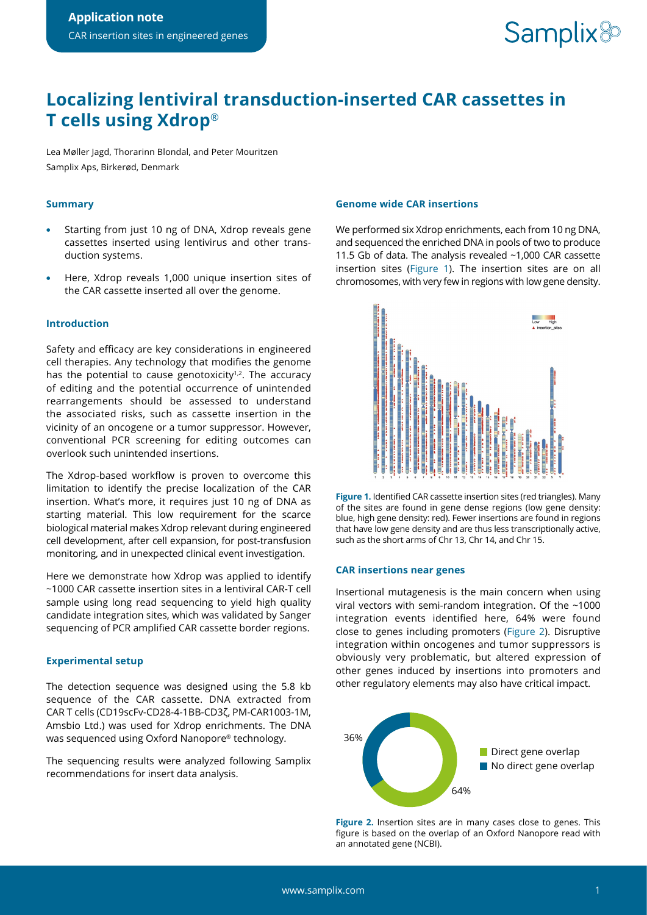# **Localizing lentiviral transduction-inserted CAR cassettes in T cells using Xdrop**®

Lea Møller Jagd, Thorarinn Blondal, and Peter Mouritzen Samplix Aps, Birkerød, Denmark

# **Summary**

- **•** Starting from just 10 ng of DNA, Xdrop reveals gene cassettes inserted using lentivirus and other transduction systems.
- **•** Here, Xdrop reveals 1,000 unique insertion sites of the CAR cassette inserted all over the genome.

# **Introduction**

Safety and efficacy are key considerations in engineered cell therapies. Any technology that modifies the genome has the potential to cause genotoxicity<sup> $1,2$ </sup>. The accuracy of editing and the potential occurrence of unintended rearrangements should be assessed to understand the associated risks, such as cassette insertion in the vicinity of an oncogene or a tumor suppressor. However, conventional PCR screening for editing outcomes can overlook such unintended insertions.

The Xdrop-based workflow is proven to overcome this limitation to identify the precise localization of the CAR insertion. What's more, it requires just 10 ng of DNA as starting material. This low requirement for the scarce biological material makes Xdrop relevant during engineered cell development, after cell expansion, for post-transfusion monitoring, and in unexpected clinical event investigation.

Here we demonstrate how Xdrop was applied to identify ~1000 CAR cassette insertion sites in a lentiviral CAR-T cell sample using long read sequencing to yield high quality candidate integration sites, which was validated by Sanger sequencing of PCR amplified CAR cassette border regions.

### **Experimental setup**

The detection sequence was designed using the 5.8 kb sequence of the CAR cassette. DNA extracted from CAR T cells (CD19scFv-CD28-4-1BB-CD3ζ, PM-CAR1003-1M, Amsbio Ltd.) was used for Xdrop enrichments. The DNA was sequenced using Oxford Nanopore® technology.

The sequencing results were analyzed following Samplix recommendations for insert data analysis.

### **Genome wide CAR insertions**

We performed six Xdrop enrichments, each from 10 ng DNA, and sequenced the enriched DNA in pools of two to produce 11.5 Gb of data. The analysis revealed ~1,000 CAR cassette insertion sites (Figure 1). The insertion sites are on all chromosomes, with very few in regions with low gene density.



**Figure 1.** Identified CAR cassette insertion sites (red triangles). Many of the sites are found in gene dense regions (low gene density: blue, high gene density: red). Fewer insertions are found in regions that have low gene density and are thus less transcriptionally active, such as the short arms of Chr 13, Chr 14, and Chr 15.

### **CAR insertions near genes**

Insertional mutagenesis is the main concern when using viral vectors with semi-random integration. Of the ~1000 integration events identified here, 64% were found close to genes including promoters (Figure 2). Disruptive integration within oncogenes and tumor suppressors is obviously very problematic, but altered expression of other genes induced by insertions into promoters and other regulatory elements may also have critical impact.



**Figure 2.** Insertion sites are in many cases close to genes. This figure is based on the overlap of an Oxford Nanopore read with an annotated gene (NCBI).